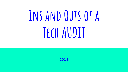# **Ins and Outs of a Tech AUDIT**

**2018**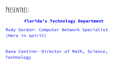

#### **Florida's Technology Department**

Rudy Gordon- Computer Network Specialist (Here in spirit)

Dana Castine- Director of Math, Science, Technology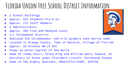## **Florida Union Free School District Information**

- 2 School Buildings
- Approx. 825 Students Pre-K-12
- Approx. 175 Staff Members
- 6 Administrators
- Approx. 40% Free and Reduced Lunch
- 1:1 Chromebook District
- 
- Deployed 825 Chromebooks- 420 6-12 graders take device home
- Located in Orange County, Town of Warwick, Village of Florida
- Approx. 60 minutes NW of NYC
- Known as Onion Capital of the World
- Home of Jimmy Sturr, Polka King and William Henry Seward, US Secretary of State under President Lincoln- Purchased Alaska
- Home of the mighty Spartans, #WeAreFloridaNY, @FUFSD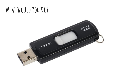#### **What Would You Do?**

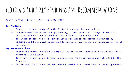### **Florida's Audit Key Findings and Recommendations**

Audit Period- July 1, 2015-June 9, 2017

#### **Key Findings**

- Employees do not comply with the District's acceptable use policy.
- Controls over the collection, processing, transmission and storage of personal, private and sensitive information (PPSI) have not been developed.
- The District does not have service level agreements for services provided by OUBOCES and MHRIC, which could lead to confusion over roles and responsibilities of each party.

#### **Key Recommendations**

- Review and monitor employees' computer use to ensure compliance with the District's acceptable use policy.
- Inventory, classify and develop controls over PPSI maintained and collected by the District.
- Ensure that all IT services are provided based on a formal service level agreement.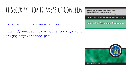## **IT Security: Top 12 Areas of Concern**

Link to IT Governance Document:

[https://www.osc.state.ny.us/localgov/pub](https://www.osc.state.ny.us/localgov/pubs/lgmg/itgovernance.pdf) [s/lgmg/itgovernance.pdf](https://www.osc.state.ny.us/localgov/pubs/lgmg/itgovernance.pdf)

**Office of the New York State Comptroller** Thomas P. DiNapoli, State Comptroller Division of Local Government and School Accountability

LOCAL GOVERNMENT MANAGEMENT GUIDE

**Information Technology Governance** 

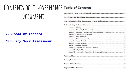# CONTENTS OF IT GOVERNANCE **Table of Contents Document**

#### **12 Areas of Concern**

**Security Self-Assessment**

| Area #3 - Computer Hardware, Software, and Data Inventories10 |  |
|---------------------------------------------------------------|--|
|                                                               |  |
|                                                               |  |
|                                                               |  |
|                                                               |  |
|                                                               |  |
|                                                               |  |
|                                                               |  |
|                                                               |  |
|                                                               |  |
|                                                               |  |
|                                                               |  |
|                                                               |  |
|                                                               |  |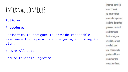#### **Internal controls**

Policies

Procedures

Activities to designed to provide reasonable assurance that operations are going according to plan.

Secure All Data

Secure Financial Systems

Internal controls over IT seek to ensure that computer systems and the data they process, transmit and store can be trusted, are available when needed, and are adequately protected from unauthorized access and use.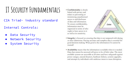### **IT Security Fundamentals**

- CIA Triad- industry standard
- Internal Controls:
	- Data Security
	- Network Security
	- System Security

• Confidentiality is closely linked with privacy and relates to preventing or minimizing unauthorized access to and disclosure of data and information. To ensure confidentiality, information must be organized in terms of who ought to have access to it as well as its sensitivity.



- Integrity is focused on ensuring that data is not tampered with during or after submission. Having accurate and complete data is essential for good decision-making. What good is the information if it cannot be trusted?
- Availability means that the information is available when it is needed. Data that cannot be accessed will prove to be of little value. The most available systems are accessible at all times and have safeguards against power outages, natural disasters, hardware failures, systems upgrades, and attempts by individuals with malicious intent to cause disruption.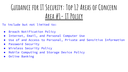# **Guidance for IT Security: Top 12 Areas of Concern Area #1- IT Policy**

To include but not limited to:

- Breach Notification Policy
- Internet, Email, and Personal Computer Use
- Use of and Access to Personal, Private and Sensitive Information
- Password Security
- Wireless Security Policy
- Mobile Computing and Storage Device Policy
- Online Banking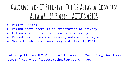# **Guidance for IT Security: Top 12 Areas of Concern Area #1- IT Policy- ACTIONABLES**

- Policy Review!
- Remind staff there is no expectation of privacy
- Follow most up-to-date password complexity
- Procedures for mobile devices, online banking, etc…
- Means to identify, inventory and classify PPSI

Look at policies- NYS Office of Information Technology Serviceshttps://its.ny.gov/tables/technologypolicyindex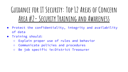**Guidance for IT Security: Top 12 Areas of Concern Area #2- Security Training and Awareness**

- Protect the confidentiality, integrity and availability of data
- Training should:
	- Explain proper use of rules and behavior
	- Communicate policies and procedures
	- Be job specific ie:District Treasurer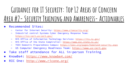# **Guidance for IT Security: Top 12 Areas of Concern Area #2- Security Training and Awareness- Actionables**

- Recommended Sites:
	- Center for Internet Security: <https://www.cisecurity.org/>
	- Industrial control Systems Cyber Emergency Response Team: <https://ics-cert.us-cert.gov/>
	- NYS Office of Information Technology Services:<https://its.ny.gov/>
	- NYS Office of the State Comptroller:<https://www.osc.state.ny.us/>
	- TEEX Domestic Preparedness Campus: <https://teex.org/pages/homeland-security.aspx>
	- US Computer Emergency Readiness Team: [https://www.us-cert.gov](https://www.us-cert.gov/)
- Take staff attendance for ALL in-person Training
- KnowBe4:<https://www.knowbe4.com/>
- RIC One:<http://www.ricone.org/>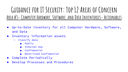#### **Guidance for IT Security: Top 12 Areas of Concern Area #3- Computer Hardware, Software, and Data Inventories- Actionables**

- Up-to-Date inventory for all Computer Hardware, Software, and Data
- Inventory information assets
	- Classify data
		- Public
		- Internal Use
		- Confidential
		- Restricted Confidential
- Complete Periodically
- Develop Processes and Procedures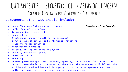#### **Guidance for IT Security: Top 12 Areas of Concern Area #4- Contracts for IT Services- Actionables**

#### Components of an SLA should include:

- identification of the parties to the contract;
- definitions of terminology;
- term/duration of agreement;
- scope/subject;
- limitations (what, if anything, is excluded);
- service level objectives and performance indicators;
- roles and responsibilities;
- nonperformance impact;
- pricing, billing and terms of payment;
- security procedures; (PPSI)
- audit procedures;
- reporting;
- review/update and approvals. Generally speaking, the more specific the SLA, the better; there should be no uncertainty about what the contractor will deliver, when it will be delivered and how much it's going to cost. A vague agreement can lead to additional costs or cost increases you were not expecting.

*Develop an SLA CheckList*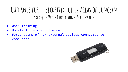#### **Guidance for IT Security: Top 12 Areas of Concern Area #5- Virus Protection- Actionables**

- User Training
- Update Antivirus Software
- Force scans of new external devices connected to computers

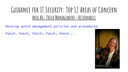#### **Guidance for IT Security: Top 12 Areas of Concern Area #6- Patch Management- Actionables**

Develop patch management policies and procedures

Patch, Patch, Patch, Patch, Patch...

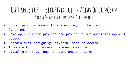#### **Guidance for IT Security: Top 12 Areas of Concern Area #7- Access controls- Actionables**

- Do not provide access to systems beyond the job duty functions
- Develop a written process and procedure for assigning account access
- Refrain from assigning universal account access
- Automate Account access wherever possible
- Classlink's Solutions- OneSync and OneRoster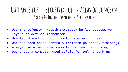#### **Guidance for IT Security: Top 12 Areas of Concern Area #8- Online Banking- Actionables**

- Use the Defense-in-Depth Strategy- builds successive layers of defense mechanisms
- Use tech-based controls (up-to-date antivirus)
- Use non tech-based controls (written policies, training)
- Always use a hardwired computer for online banking
- Designate a computer used solely for online banking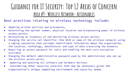#### **Guidance for IT Security: Top 12 Areas of Concern Area #9- Wireless Network- Actionables**

#### Best practices relating to wireless technology include:

- Adopting written policies and procedures;
- Determining the optimal number, physical location and broadcasting power of wireless access points;
- Maintaining an inventory of and monitoring wireless access points;
- Changing the service set identifier (the SSID or name of the wireless network) using a naming convention that excludes identifiable information about the organization, the location, technology, manufacturer and type of data traversing the network;
- Requiring an access password for users and enabling the most sure encryption available
- Changing the default administrative password used by the administrator who set up the wireless access point;
- Updating and patching all software and hardware devices;
- Considering other security controls that may be necessary given the organization's unique computing environment and security needs.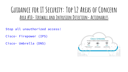#### **Guidance for IT Security: Top 12 Areas of Concern Area #10- Firewall and Intrusion Detection- Actionables**

Stop all unauthorized access!

- Cisco- Firepower (IPS)
- Cisco- Umbrella (DNS)

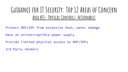#### **Guidance for IT Security: Top 12 Areas of Concern Area #11- Physical Controls- Actionables**

Protect MDF/IDF from excessive heat, water damage

Have an uninterruptible power supply

Provide limited physical access to MDF/IDFs

3rd Party Vendors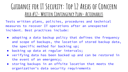#### **Guidance for IT Security: Top 12 Areas of Concern Area #12- Written Contingency Plan- Actionables**

Tests written plans, policies, procedures and technical measures to recover IT operations after an unexpected incident. Best practices include:

- adopting a data backup policy that defines the frequency and scope of backups, the location of stored backup data, the specific method for backing up;
- backing up data at regular intervals;
- verifying data has been backed up and can be restored in the event of an emergency;
- storing backups in an offsite location that meets the organization's data security requirements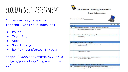### **Security Self-Assessment**

Addresses Key areas of Internal Controls such as:

- Policy
- **Training**
- **Access**
- Monitoring
- Review completed 1x/year

https://www.osc.state.ny.us/lo calgov/pubs/lgmg/itgovernance. pdf



#### **Information Technology Governance**

#### **Security Self-Assessment**

Date Assessment Completed:



|                |                                                                                | <b>YES</b> | N <sub>O</sub> | N/A |
|----------------|--------------------------------------------------------------------------------|------------|----------------|-----|
|                | <b>IT Policy</b>                                                               |            |                |     |
| 1a             | Are computer policies adopted, distributed, and updated as necessary?          |            |                |     |
|                | List policies and dates adopted or last revised:                               |            |                |     |
| 1 <sub>b</sub> | Was a data breach notification policy adopted?                                 |            |                |     |
|                | Date adopted:                                                                  |            |                |     |
|                | <b>IT Security Training and Awareness</b>                                      |            |                |     |
| 2a             | Were all computer users provided IT security training?<br>Date(s) of training: |            |                |     |
|                | Who attended the training:                                                     |            |                |     |
| 2 <sub>b</sub> | Are there other efforts to raise IT security awareness?                        |            |                |     |
|                | Describe awareness efforts:                                                    |            |                |     |
|                | <b>Computer Hardware, Software and Data Inventories</b>                        |            |                |     |
| 3a             | Is a detailed, up-to-date inventory of computer hardware maintained?           |            |                |     |
|                | Review a copy of the hardware inventory and note when last updated:            |            |                |     |